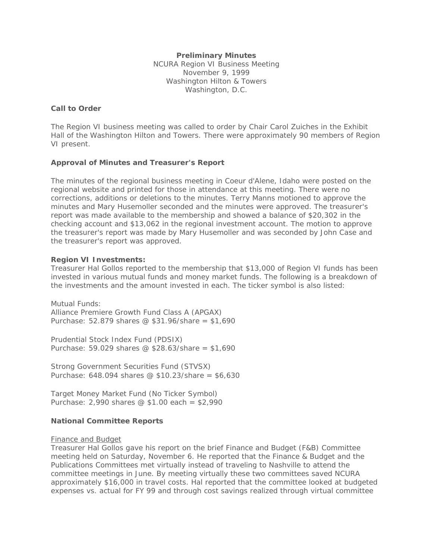## **Preliminary Minutes**

NCURA Region VI Business Meeting November 9, 1999 Washington Hilton & Towers Washington, D.C.

# **Call to Order**

The Region VI business meeting was called to order by Chair Carol Zuiches in the Exhibit Hall of the Washington Hilton and Towers. There were approximately 90 members of Region VI present.

# **Approval of Minutes and Treasurer's Report**

The minutes of the regional business meeting in Coeur d'Alene, Idaho were posted on the regional website and printed for those in attendance at this meeting. There were no corrections, additions or deletions to the minutes. Terry Manns motioned to approve the minutes and Mary Husemoller seconded and the minutes were approved. The treasurer's report was made available to the membership and showed a balance of \$20,302 in the checking account and \$13,062 in the regional investment account. The motion to approve the treasurer's report was made by Mary Husemoller and was seconded by John Case and the treasurer's report was approved.

### **Region VI Investments:**

Treasurer Hal Gollos reported to the membership that \$13,000 of Region VI funds has been invested in various mutual funds and money market funds. The following is a breakdown of the investments and the amount invested in each. The ticker symbol is also listed:

Mutual Funds: Alliance Premiere Growth Fund Class A (APGAX) Purchase: 52.879 shares @ \$31.96/share = \$1,690

Prudential Stock Index Fund (PDSIX) Purchase: 59.029 shares @ \$28.63/share = \$1,690

Strong Government Securities Fund (STVSX) Purchase: 648.094 shares @ \$10.23/share = \$6,630

Target Money Market Fund (No Ticker Symbol) Purchase: 2,990 shares @ \$1.00 each = \$2,990

### **National Committee Reports**

### Finance and Budget

Treasurer Hal Gollos gave his report on the brief Finance and Budget (F&B) Committee meeting held on Saturday, November 6. He reported that the Finance & Budget and the Publications Committees met virtually instead of traveling to Nashville to attend the committee meetings in June. By meeting virtually these two committees saved NCURA approximately \$16,000 in travel costs. Hal reported that the committee looked at budgeted expenses vs. actual for FY 99 and through cost savings realized through virtual committee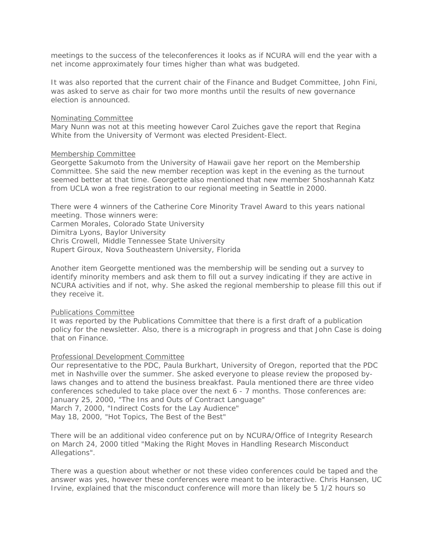meetings to the success of the teleconferences it looks as if NCURA will end the year with a net income approximately four times higher than what was budgeted.

It was also reported that the current chair of the Finance and Budget Committee, John Fini, was asked to serve as chair for two more months until the results of new governance election is announced.

#### Nominating Committee

Mary Nunn was not at this meeting however Carol Zuiches gave the report that Regina White from the University of Vermont was elected President-Elect.

#### Membership Committee

Georgette Sakumoto from the University of Hawaii gave her report on the Membership Committee. She said the new member reception was kept in the evening as the turnout seemed better at that time. Georgette also mentioned that new member Shoshannah Katz from UCLA won a free registration to our regional meeting in Seattle in 2000.

There were 4 winners of the Catherine Core Minority Travel Award to this years national meeting. Those winners were:

Carmen Morales, Colorado State University Dimitra Lyons, Baylor University Chris Crowell, Middle Tennessee State University Rupert Giroux, Nova Southeastern University, Florida

Another item Georgette mentioned was the membership will be sending out a survey to identify minority members and ask them to fill out a survey indicating if they are active in NCURA activities and if not, why. She asked the regional membership to please fill this out if they receive it.

### Publications Committee

It was reported by the Publications Committee that there is a first draft of a publication policy for the newsletter. Also, there is a micrograph in progress and that John Case is doing that on Finance.

### Professional Development Committee

Our representative to the PDC, Paula Burkhart, University of Oregon, reported that the PDC met in Nashville over the summer. She asked everyone to please review the proposed bylaws changes and to attend the business breakfast. Paula mentioned there are three video conferences scheduled to take place over the next 6 - 7 months. Those conferences are: January 25, 2000, "The Ins and Outs of Contract Language" March 7, 2000, "Indirect Costs for the Lay Audience" May 18, 2000, "Hot Topics, The Best of the Best"

There will be an additional video conference put on by NCURA/Office of Integrity Research on March 24, 2000 titled "Making the Right Moves in Handling Research Misconduct Allegations".

There was a question about whether or not these video conferences could be taped and the answer was yes, however these conferences were meant to be interactive. Chris Hansen, UC Irvine, explained that the misconduct conference will more than likely be 5 1/2 hours so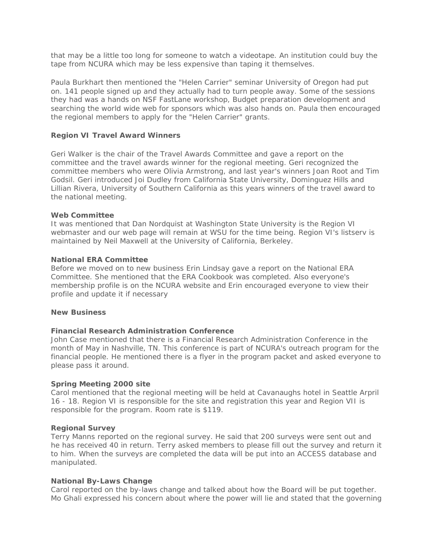that may be a little too long for someone to watch a videotape. An institution could buy the tape from NCURA which may be less expensive than taping it themselves.

Paula Burkhart then mentioned the "Helen Carrier" seminar University of Oregon had put on. 141 people signed up and they actually had to turn people away. Some of the sessions they had was a hands on NSF FastLane workshop, Budget preparation development and searching the world wide web for sponsors which was also hands on. Paula then encouraged the regional members to apply for the "Helen Carrier" grants.

## **Region VI Travel Award Winners**

Geri Walker is the chair of the Travel Awards Committee and gave a report on the committee and the travel awards winner for the regional meeting. Geri recognized the committee members who were Olivia Armstrong, and last year's winners Joan Root and Tim Godsil. Geri introduced Joi Dudley from California State University, Dominguez Hills and Lillian Rivera, University of Southern California as this years winners of the travel award to the national meeting.

### **Web Committee**

It was mentioned that Dan Nordquist at Washington State University is the Region VI webmaster and our web page will remain at WSU for the time being. Region VI's listserv is maintained by Neil Maxwell at the University of California, Berkeley.

#### **National ERA Committee**

Before we moved on to new business Erin Lindsay gave a report on the National ERA Committee. She mentioned that the ERA Cookbook was completed. Also everyone's membership profile is on the NCURA website and Erin encouraged everyone to view their profile and update it if necessary

#### **New Business**

# **Financial Research Administration Conference**

John Case mentioned that there is a Financial Research Administration Conference in the month of May in Nashville, TN. This conference is part of NCURA's outreach program for the financial people. He mentioned there is a flyer in the program packet and asked everyone to please pass it around.

### **Spring Meeting 2000 site**

Carol mentioned that the regional meeting will be held at Cavanaughs hotel in Seattle Arpril 16 - 18. Region VI is responsible for the site and registration this year and Region VII is responsible for the program. Room rate is \$119.

### **Regional Survey**

Terry Manns reported on the regional survey. He said that 200 surveys were sent out and he has received 40 in return. Terry asked members to please fill out the survey and return it to him. When the surveys are completed the data will be put into an ACCESS database and manipulated.

#### **National By-Laws Change**

Carol reported on the by-laws change and talked about how the Board will be put together. Mo Ghali expressed his concern about where the power will lie and stated that the governing